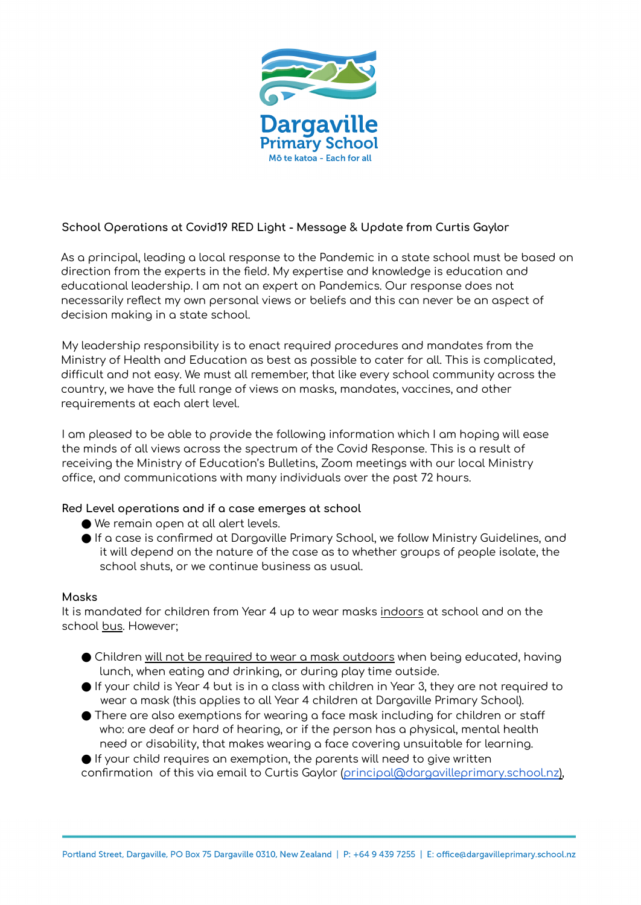

# **School Operations at Covid19 RED Light - Message & Update from Curtis Gaylor**

As a principal, leading a local response to the Pandemic in a state school must be based on direction from the experts in the field. My expertise and knowledge is education and educational leadership. I am not an expert on Pandemics. Our response does not necessarily reflect my own personal views or beliefs and this can never be an aspect of decision making in a state school.

My leadership responsibility is to enact required procedures and mandates from the Ministry of Health and Education as best as possible to cater for all. This is complicated, difficult and not easy. We must all remember, that like every school community across the country, we have the full range of views on masks, mandates, vaccines, and other requirements at each alert level.

I am pleased to be able to provide the following information which I am hoping will ease the minds of all views across the spectrum of the Covid Response. This is a result of receiving the Ministry of Education's Bulletins, Zoom meetings with our local Ministry office, and communications with many individuals over the past 72 hours.

# **Red Level operations and if a case emerges at school**

- We remain open at all alert levels.
- $\bullet$  If a case is confirmed at Daragville Primary School, we follow Ministry Guidelines, and it will depend on the nature of the case as to whether groups of people isolate, the school shuts, or we continue business as usual.

## **Masks**

It is mandated for children from Year 4 up to wear masks indoors at school and on the school bus. However;

- $\bullet$  Children will not be required to wear a mask outdoors when being educated, having lunch, when eating and drinking, or during play time outside.
- $\bigcirc$  If your child is Year 4 but is in a class with children in Year 3, they are not required to wear a mask (this applies to all Year 4 children at Dargaville Primary School).
- $\bullet$  There are also exemptions for wearing a face mask including for children or staff who: are deaf or hard of hearing, or if the person has a physical, mental health need or disability, that makes wearing a face covering unsuitable for learning.

 $\blacktriangleright$  If your child requires an exemption, the parents will need to give written confirmation of this via email to Curtis Gaylor (principal@dargavilleprimary.school.nz),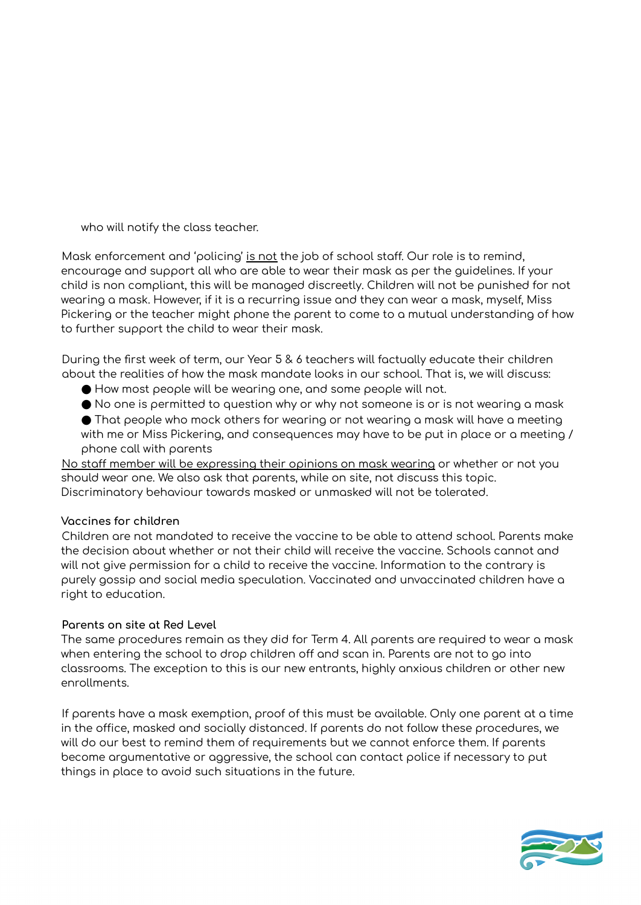who will notify the class teacher.

Mask enforcement and 'policing' is not the job of school staff. Our role is to remind, encourage and support all who are able to wear their mask as per the guidelines. If your child is non compliant, this will be managed discreetly. Children will not be punished for not wearing a mask. However, if it is a recurring issue and they can wear a mask, myself, Miss Pickering or the teacher might phone the parent to come to a mutual understanding of how to further support the child to wear their mask.

During the first week of term, our Year 5 & 6 teachers will factually educate their children about the realities of how the mask mandate looks in our school. That is, we will discuss:

● How most people will be wearing one, and some people will not.

 $\bullet$  No one is permitted to question why or why not someone is or is not wearing a mask

● That people who mock others for wearing or not wearing a mask will have a meeting with me or Miss Pickering, and consequences may have to be put in place or a meeting / phone call with parents

No staff member will be expressing their opinions on mask wearing or whether or not you should wear one. We also ask that parents, while on site, not discuss this topic. Discriminatory behaviour towards masked or unmasked will not be tolerated.

## **Vaccines for children**

Children are not mandated to receive the vaccine to be able to attend school. Parents make the decision about whether or not their child will receive the vaccine. Schools cannot and will not give permission for a child to receive the vaccine. Information to the contrary is purely gossip and social media speculation. Vaccinated and unvaccinated children have a right to education.

## **Parents on site at Red Level**

The same procedures remain as they did for Term 4. All parents are required to wear a mask when entering the school to drop children off and scan in. Parents are not to go into classrooms. The exception to this is our new entrants, highly anxious children or other new enrollments.

If parents have a mask exemption, proof of this must be available. Only one parent at a time in the office, masked and socially distanced. If parents do not follow these procedures, we will do our best to remind them of requirements but we cannot enforce them. If parents become argumentative or aggressive, the school can contact police if necessary to put things in place to avoid such situations in the future.